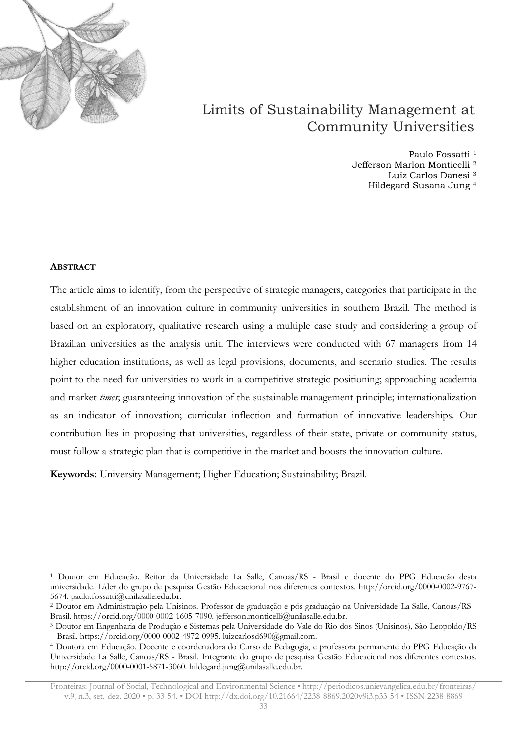

# Limits of Sustainability Management at Community Universities

Paulo Fossatti<sup>1</sup> Jefferson Marlon Monticelli <sup>2</sup> Luiz Carlos Danesi <sup>3</sup> Hildegard Susana Jung <sup>4</sup>

#### **ABSTRACT**

The article aims to identify, from the perspective of strategic managers, categories that participate in the establishment of an innovation culture in community universities in southern Brazil. The method is based on an exploratory, qualitative research using a multiple case study and considering a group of Brazilian universities as the analysis unit. The interviews were conducted with 67 managers from 14 higher education institutions, as well as legal provisions, documents, and scenario studies. The results point to the need for universities to work in a competitive strategic positioning; approaching academia and market *times*; guaranteeing innovation of the sustainable management principle; internationalization as an indicator of innovation; curricular inflection and formation of innovative leaderships. Our contribution lies in proposing that universities, regardless of their state, private or community status, must follow a strategic plan that is competitive in the market and boosts the innovation culture.

**Keywords:** University Management; Higher Education; Sustainability; Brazil.

<sup>1</sup> Doutor em Educação. Reitor da Universidade La Salle, Canoas/RS - Brasil e docente do PPG Educação desta universidade. Líder do grupo de pesquisa Gestão Educacional nos diferentes contextos. http://orcid.org/0000-0002-9767- 5674. paulo.fossatti@unilasalle.edu.br.

<sup>2</sup> Doutor em Administração pela Unisinos. Professor de graduação e pós-graduação na Universidade La Salle, Canoas/RS - Brasil. https://orcid.org/0000-0002-1605-7090. jefferson.monticelli@unilasalle.edu.br.

<sup>3</sup> Doutor em Engenharia de Produção e Sistemas pela Universidade do Vale do Rio dos Sinos (Unisinos), São Leopoldo/RS – Brasil. https://orcid.org/0000-0002-4972-0995. luizcarlosd690@gmail.com.

<sup>4</sup> Doutora em Educação. Docente e coordenadora do Curso de Pedagogia, e professora permanente do PPG Educação da Universidade La Salle, Canoas/RS - Brasil. Integrante do grupo de pesquisa Gestão Educacional nos diferentes contextos. http://orcid.org/0000-0001-5871-3060. hildegard.jung@unilasalle.edu.br.

Fronteiras: Journal of Social, Technological and Environmental Science • <http://periodicos.unievangelica.edu.br/fronteiras/> v.9, n.3, set.-dez. 2020 • p. 33-54. • DOI http://dx.doi.org/10.21664/2238-8869.2020v9i3.p33-54 • ISSN 2238-8869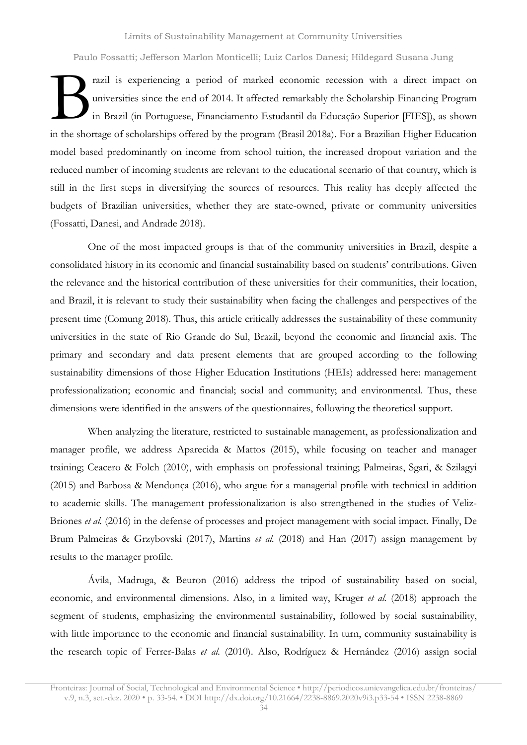Limits of Sustainability Management at Community Universities

Paulo Fossatti; Jefferson Marlon Monticelli; Luiz Carlos Danesi; Hildegard Susana Jung

razil is experiencing a period of marked economic recession with a direct impact on universities since the end of 2014. It affected remarkably the Scholarship Financing Program in Brazil (in Portuguese, Financiamento Estudantil da Educação Superior [FIES]), as shown in the shortage of scholarships offered by the program (Brasil 2018a). For a Brazilian Higher Education model based predominantly on income from school tuition, the increased dropout variation and the reduced number of incoming students are relevant to the educational scenario of that country, which is still in the first steps in diversifying the sources of resources. This reality has deeply affected the budgets of Brazilian universities, whether they are state-owned, private or community universities (Fossatti, Danesi, and Andrade 2018).  $\mathbf{B}$ 

One of the most impacted groups is that of the community universities in Brazil, despite a consolidated history in its economic and financial sustainability based on students' contributions. Given the relevance and the historical contribution of these universities for their communities, their location, and Brazil, it is relevant to study their sustainability when facing the challenges and perspectives of the present time (Comung 2018). Thus, this article critically addresses the sustainability of these community universities in the state of Rio Grande do Sul, Brazil, beyond the economic and financial axis. The primary and secondary and data present elements that are grouped according to the following sustainability dimensions of those Higher Education Institutions (HEIs) addressed here: management professionalization; economic and financial; social and community; and environmental. Thus, these dimensions were identified in the answers of the questionnaires, following the theoretical support.

When analyzing the literature, restricted to sustainable management, as professionalization and manager profile, we address Aparecida & Mattos (2015), while focusing on teacher and manager training; Ceacero & Folch (2010), with emphasis on professional training; Palmeiras, Sgari, & Szilagyi (2015) and Barbosa & Mendonça (2016), who argue for a managerial profile with technical in addition to academic skills. The management professionalization is also strengthened in the studies of Veliz-Briones *et al.* (2016) in the defense of processes and project management with social impact. Finally, De Brum Palmeiras & Grzybovski (2017), Martins *et al.* (2018) and Han (2017) assign management by results to the manager profile.

Ávila, Madruga, & Beuron (2016) address the tripod of sustainability based on social, economic, and environmental dimensions. Also, in a limited way, Kruger *et al.* (2018) approach the segment of students, emphasizing the environmental sustainability, followed by social sustainability, with little importance to the economic and financial sustainability. In turn, community sustainability is the research topic of Ferrer-Balas *et al.* (2010). Also, Rodríguez & Hernández (2016) assign social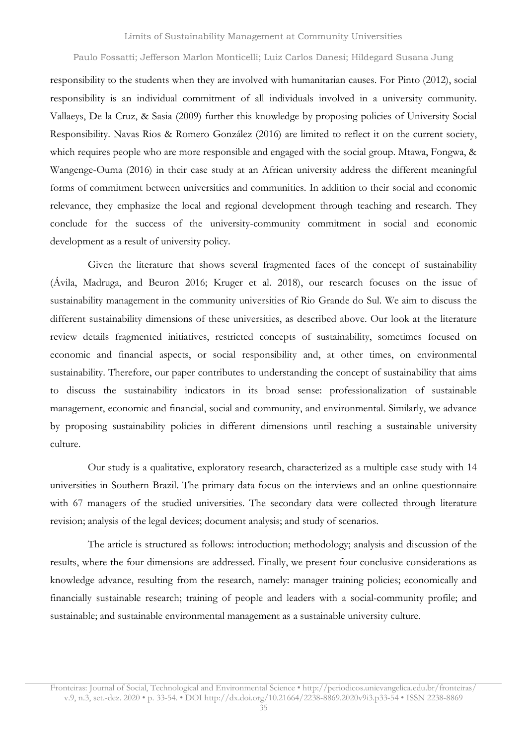responsibility to the students when they are involved with humanitarian causes. For Pinto (2012), social responsibility is an individual commitment of all individuals involved in a university community. Vallaeys, De la Cruz, & Sasia (2009) further this knowledge by proposing policies of University Social Responsibility. Navas Rios & Romero González (2016) are limited to reflect it on the current society, which requires people who are more responsible and engaged with the social group. Mtawa, Fongwa, & Wangenge-Ouma (2016) in their case study at an African university address the different meaningful forms of commitment between universities and communities. In addition to their social and economic relevance, they emphasize the local and regional development through teaching and research. They conclude for the success of the university-community commitment in social and economic development as a result of university policy.

Given the literature that shows several fragmented faces of the concept of sustainability (Ávila, Madruga, and Beuron 2016; Kruger et al. 2018), our research focuses on the issue of sustainability management in the community universities of Rio Grande do Sul. We aim to discuss the different sustainability dimensions of these universities, as described above. Our look at the literature review details fragmented initiatives, restricted concepts of sustainability, sometimes focused on economic and financial aspects, or social responsibility and, at other times, on environmental sustainability. Therefore, our paper contributes to understanding the concept of sustainability that aims to discuss the sustainability indicators in its broad sense: professionalization of sustainable management, economic and financial, social and community, and environmental. Similarly, we advance by proposing sustainability policies in different dimensions until reaching a sustainable university culture.

Our study is a qualitative, exploratory research, characterized as a multiple case study with 14 universities in Southern Brazil. The primary data focus on the interviews and an online questionnaire with 67 managers of the studied universities. The secondary data were collected through literature revision; analysis of the legal devices; document analysis; and study of scenarios.

The article is structured as follows: introduction; methodology; analysis and discussion of the results, where the four dimensions are addressed. Finally, we present four conclusive considerations as knowledge advance, resulting from the research, namely: manager training policies; economically and financially sustainable research; training of people and leaders with a social-community profile; and sustainable; and sustainable environmental management as a sustainable university culture.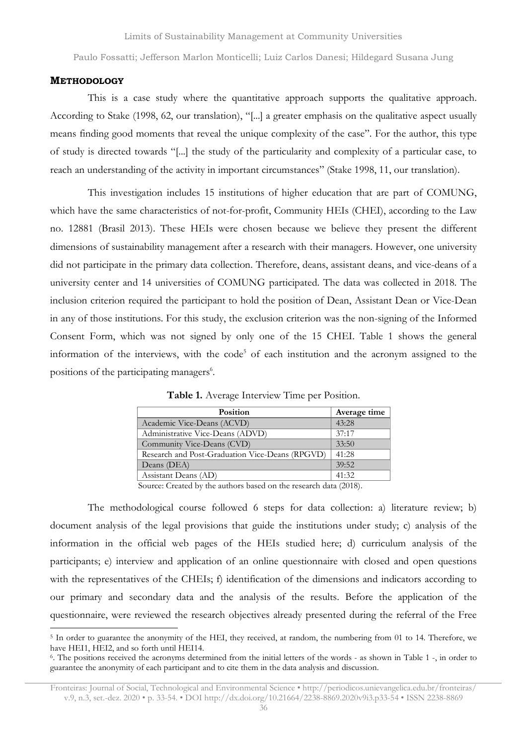#### **METHODOLOGY**

This is a case study where the quantitative approach supports the qualitative approach. According to Stake (1998, 62, our translation), "[...] a greater emphasis on the qualitative aspect usually means finding good moments that reveal the unique complexity of the case". For the author, this type of study is directed towards "[...] the study of the particularity and complexity of a particular case, to reach an understanding of the activity in important circumstances" (Stake 1998, 11, our translation).

This investigation includes 15 institutions of higher education that are part of COMUNG, which have the same characteristics of not-for-profit, Community HEIs (CHEI), according to the Law no. 12881 (Brasil 2013). These HEIs were chosen because we believe they present the different dimensions of sustainability management after a research with their managers. However, one university did not participate in the primary data collection. Therefore, deans, assistant deans, and vice-deans of a university center and 14 universities of COMUNG participated. The data was collected in 2018. The inclusion criterion required the participant to hold the position of Dean, Assistant Dean or Vice-Dean in any of those institutions. For this study, the exclusion criterion was the non-signing of the Informed Consent Form, which was not signed by only one of the 15 CHEI. [Table](#page-3-0) 1 shows the general information of the interviews, with the code<sup>5</sup> of each institution and the acronym assigned to the positions of the participating managers<sup>6</sup>.

<span id="page-3-0"></span>

| <b>Position</b>                                 | Average time |
|-------------------------------------------------|--------------|
| Academic Vice-Deans (ACVD)                      | 43:28        |
| Administrative Vice-Deans (ADVD)                | 37:17        |
| Community Vice-Deans (CVD)                      | 33:50        |
| Research and Post-Graduation Vice-Deans (RPGVD) | 41:28        |
| Deans (DEA)                                     | 39:52        |
| Assistant Deans (AD)                            | 41:32        |

**Table 1.** Average Interview Time per Position.

Source: Created by the authors based on the research data (2018).

The methodological course followed 6 steps for data collection: a) literature review; b) document analysis of the legal provisions that guide the institutions under study; c) analysis of the information in the official web pages of the HEIs studied here; d) curriculum analysis of the participants; e) interview and application of an online questionnaire with closed and open questions with the representatives of the CHEIs; f) identification of the dimensions and indicators according to our primary and secondary data and the analysis of the results. Before the application of the questionnaire, were reviewed the research objectives already presented during the referral of the Free

<sup>&</sup>lt;sup>5</sup> In order to guarantee the anonymity of the HEI, they received, at random, the numbering from 01 to 14. Therefore, we have HEI1, HEI2, and so forth until HEI14.

<sup>6</sup> . The positions received the acronyms determined from the initial letters of the words - as shown in Table 1 -, in order to guarantee the anonymity of each participant and to cite them in the data analysis and discussion.

Fronteiras: Journal of Social, Technological and Environmental Science • <http://periodicos.unievangelica.edu.br/fronteiras/> v.9, n.3, set.-dez. 2020 • p. 33-54. • DOI http://dx.doi.org/10.21664/2238-8869.2020v9i3.p33-54 • ISSN 2238-8869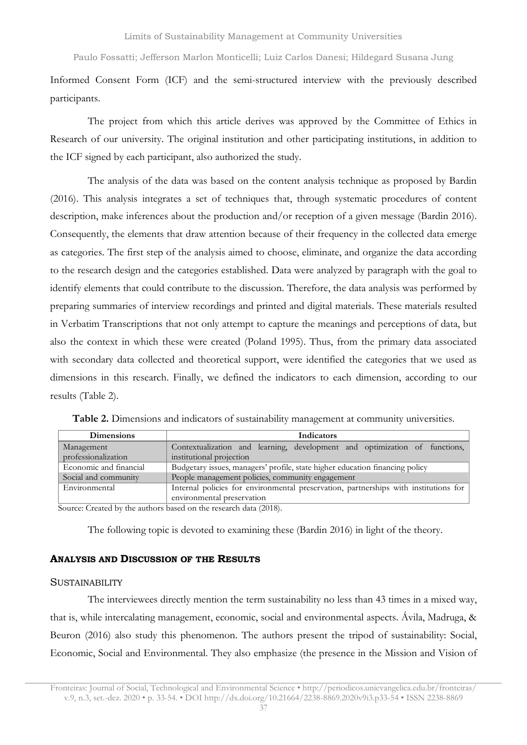Informed Consent Form (ICF) and the semi-structured interview with the previously described participants.

The project from which this article derives was approved by the Committee of Ethics in Research of our university. The original institution and other participating institutions, in addition to the ICF signed by each participant, also authorized the study.

The analysis of the data was based on the content analysis technique as proposed by Bardin (2016). This analysis integrates a set of techniques that, through systematic procedures of content description, make inferences about the production and/or reception of a given message (Bardin 2016). Consequently, the elements that draw attention because of their frequency in the collected data emerge as categories. The first step of the analysis aimed to choose, eliminate, and organize the data according to the research design and the categories established. Data were analyzed by paragraph with the goal to identify elements that could contribute to the discussion. Therefore, the data analysis was performed by preparing summaries of interview recordings and printed and digital materials. These materials resulted in Verbatim Transcriptions that not only attempt to capture the meanings and perceptions of data, but also the context in which these were created (Poland 1995). Thus, from the primary data associated with secondary data collected and theoretical support, were identified the categories that we used as dimensions in this research. Finally, we defined the indicators to each dimension, according to our results [\(Table](#page-4-0) 2).

| <b>Dimensions</b>      | Indicators                                                                                  |
|------------------------|---------------------------------------------------------------------------------------------|
| Management             | Contextualization and learning, development and optimization of functions,                  |
| professionalization    | institutional projection                                                                    |
| Economic and financial | Budgetary issues, managers' profile, state higher education financing policy                |
| Social and community   | People management policies, community engagement                                            |
| Environmental          | Internal policies for environmental preservation, partnerships with institutions for        |
|                        | environmental preservation                                                                  |
|                        | $C_{\text{source}}$ $C_{\text{model}}$ 1 km december 1 km k and an decomposite 1 km $/2040$ |

<span id="page-4-0"></span>**Table 2.** Dimensions and indicators of sustainability management at community universities.

Source: Created by the authors based on the research data (2018).

The following topic is devoted to examining these (Bardin 2016) in light of the theory.

## **ANALYSIS AND DISCUSSION OF THE RESULTS**

#### **SUSTAINABILITY**

The interviewees directly mention the term sustainability no less than 43 times in a mixed way, that is, while intercalating management, economic, social and environmental aspects. Ávila, Madruga, & Beuron (2016) also study this phenomenon. The authors present the tripod of sustainability: Social, Economic, Social and Environmental. They also emphasize (the presence in the Mission and Vision of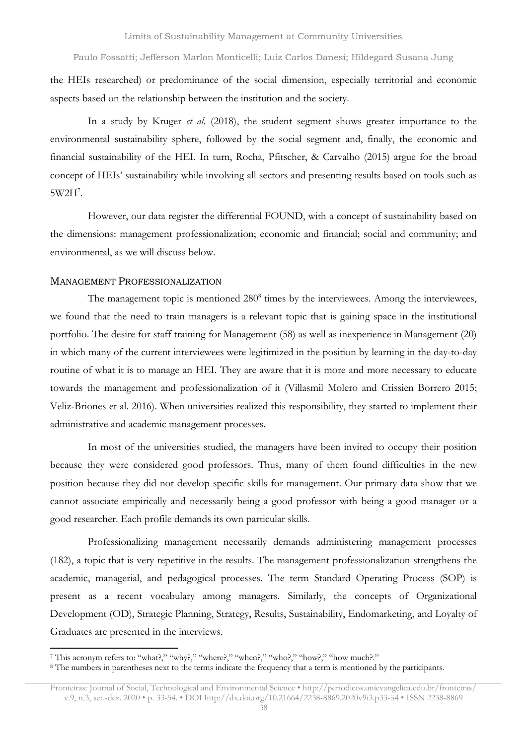the HEIs researched) or predominance of the social dimension, especially territorial and economic aspects based on the relationship between the institution and the society.

In a study by Kruger *et al.* (2018), the student segment shows greater importance to the environmental sustainability sphere, followed by the social segment and, finally, the economic and financial sustainability of the HEI. In turn, Rocha, Pfitscher, & Carvalho (2015) argue for the broad concept of HEIs' sustainability while involving all sectors and presenting results based on tools such as  $5W2H^7$ .

However, our data register the differential FOUND, with a concept of sustainability based on the dimensions: management professionalization; economic and financial; social and community; and environmental, as we will discuss below.

#### MANAGEMENT PROFESSIONALIZATION

The management topic is mentioned 280<sup>8</sup> times by the interviewees. Among the interviewees, we found that the need to train managers is a relevant topic that is gaining space in the institutional portfolio. The desire for staff training for Management (58) as well as inexperience in Management (20) in which many of the current interviewees were legitimized in the position by learning in the day-to-day routine of what it is to manage an HEI. They are aware that it is more and more necessary to educate towards the management and professionalization of it (Villasmil Molero and Crissien Borrero 2015; Veliz-Briones et al. 2016). When universities realized this responsibility, they started to implement their administrative and academic management processes.

In most of the universities studied, the managers have been invited to occupy their position because they were considered good professors. Thus, many of them found difficulties in the new position because they did not develop specific skills for management. Our primary data show that we cannot associate empirically and necessarily being a good professor with being a good manager or a good researcher. Each profile demands its own particular skills.

Professionalizing management necessarily demands administering management processes (182), a topic that is very repetitive in the results. The management professionalization strengthens the academic, managerial, and pedagogical processes. The term Standard Operating Process (SOP) is present as a recent vocabulary among managers. Similarly, the concepts of Organizational Development (OD), Strategic Planning, Strategy, Results, Sustainability, Endomarketing, and Loyalty of Graduates are presented in the interviews.

<sup>7</sup> This acronym refers to: "what?," "why?," "where?," "when?," "who?," "how?," "how much?."

<sup>8</sup> The numbers in parentheses next to the terms indicate the frequency that a term is mentioned by the participants.

Fronteiras: Journal of Social, Technological and Environmental Science • <http://periodicos.unievangelica.edu.br/fronteiras/> v.9, n.3, set.-dez. 2020 • p. 33-54. • DOI http://dx.doi.org/10.21664/2238-8869.2020v9i3.p33-54 • ISSN 2238-8869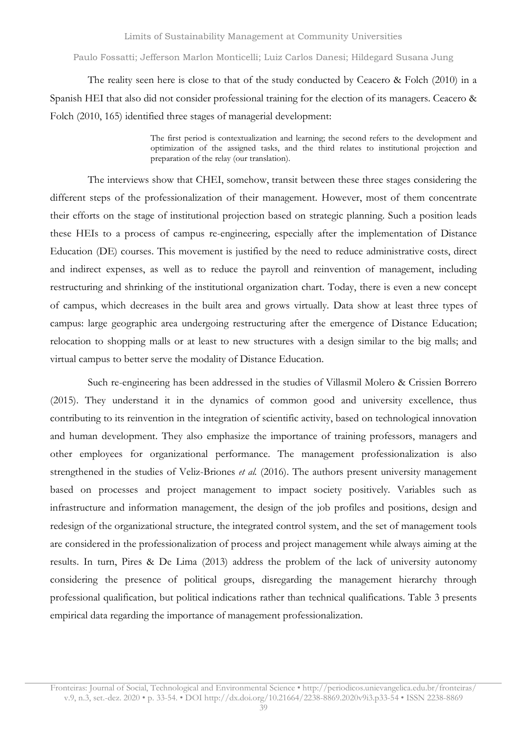The reality seen here is close to that of the study conducted by Ceacero & Folch (2010) in a Spanish HEI that also did not consider professional training for the election of its managers. Ceacero & Folch (2010, 165) identified three stages of managerial development:

> The first period is contextualization and learning; the second refers to the development and optimization of the assigned tasks, and the third relates to institutional projection and preparation of the relay (our translation).

The interviews show that CHEI, somehow, transit between these three stages considering the different steps of the professionalization of their management. However, most of them concentrate their efforts on the stage of institutional projection based on strategic planning. Such a position leads these HEIs to a process of campus re-engineering, especially after the implementation of Distance Education (DE) courses. This movement is justified by the need to reduce administrative costs, direct and indirect expenses, as well as to reduce the payroll and reinvention of management, including restructuring and shrinking of the institutional organization chart. Today, there is even a new concept of campus, which decreases in the built area and grows virtually. Data show at least three types of campus: large geographic area undergoing restructuring after the emergence of Distance Education; relocation to shopping malls or at least to new structures with a design similar to the big malls; and virtual campus to better serve the modality of Distance Education.

Such re-engineering has been addressed in the studies of Villasmil Molero & Crissien Borrero (2015). They understand it in the dynamics of common good and university excellence, thus contributing to its reinvention in the integration of scientific activity, based on technological innovation and human development. They also emphasize the importance of training professors, managers and other employees for organizational performance. The management professionalization is also strengthened in the studies of Veliz-Briones *et al.* (2016). The authors present university management based on processes and project management to impact society positively. Variables such as infrastructure and information management, the design of the job profiles and positions, design and redesign of the organizational structure, the integrated control system, and the set of management tools are considered in the professionalization of process and project management while always aiming at the results. In turn, Pires & De Lima (2013) address the problem of the lack of university autonomy considering the presence of political groups, disregarding the management hierarchy through professional qualification, but political indications rather than technical qualifications. [Table](#page-7-0) 3 presents empirical data regarding the importance of management professionalization.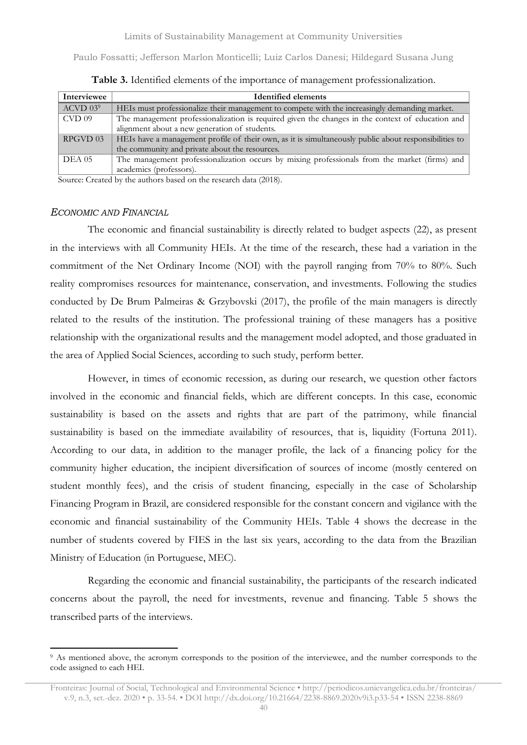<span id="page-7-0"></span>

| Interviewee  | <b>Identified elements</b>                                                                            |
|--------------|-------------------------------------------------------------------------------------------------------|
| $ACVD$ $039$ | HEIs must professionalize their management to compete with the increasingly demanding market.         |
| CVD 09       | The management professionalization is required given the changes in the context of education and      |
|              | alignment about a new generation of students.                                                         |
| RPGVD 03     | HEIs have a management profile of their own, as it is simultaneously public about responsibilities to |
|              | the community and private about the resources.                                                        |
| DEA 05       | The management professionalization occurs by mixing professionals from the market (firms) and         |
|              | academics (professors).                                                                               |

**Table 3.** Identified elements of the importance of management professionalization.

Source: Created by the authors based on the research data (2018).

#### *ECONOMIC AND FINANCIAL*

The economic and financial sustainability is directly related to budget aspects (22), as present in the interviews with all Community HEIs. At the time of the research, these had a variation in the commitment of the Net Ordinary Income (NOI) with the payroll ranging from 70% to 80%. Such reality compromises resources for maintenance, conservation, and investments. Following the studies conducted by De Brum Palmeiras & Grzybovski (2017), the profile of the main managers is directly related to the results of the institution. The professional training of these managers has a positive relationship with the organizational results and the management model adopted, and those graduated in the area of Applied Social Sciences, according to such study, perform better.

However, in times of economic recession, as during our research, we question other factors involved in the economic and financial fields, which are different concepts. In this case, economic sustainability is based on the assets and rights that are part of the patrimony, while financial sustainability is based on the immediate availability of resources, that is, liquidity (Fortuna 2011). According to our data, in addition to the manager profile, the lack of a financing policy for the community higher education, the incipient diversification of sources of income (mostly centered on student monthly fees), and the crisis of student financing, especially in the case of Scholarship Financing Program in Brazil, are considered responsible for the constant concern and vigilance with the economic and financial sustainability of the Community HEIs. [Table](#page-8-0) 4 shows the decrease in the number of students covered by FIES in the last six years, according to the data from the Brazilian Ministry of Education (in Portuguese, MEC).

Regarding the economic and financial sustainability, the participants of the research indicated concerns about the payroll, the need for investments, revenue and financing. [Table](#page-8-1) 5 shows the transcribed parts of the interviews.

<sup>9</sup> As mentioned above, the acronym corresponds to the position of the interviewee, and the number corresponds to the code assigned to each HEI.

Fronteiras: Journal of Social, Technological and Environmental Science • <http://periodicos.unievangelica.edu.br/fronteiras/> v.9, n.3, set.-dez. 2020 • p. 33-54. • DOI http://dx.doi.org/10.21664/2238-8869.2020v9i3.p33-54 • ISSN 2238-8869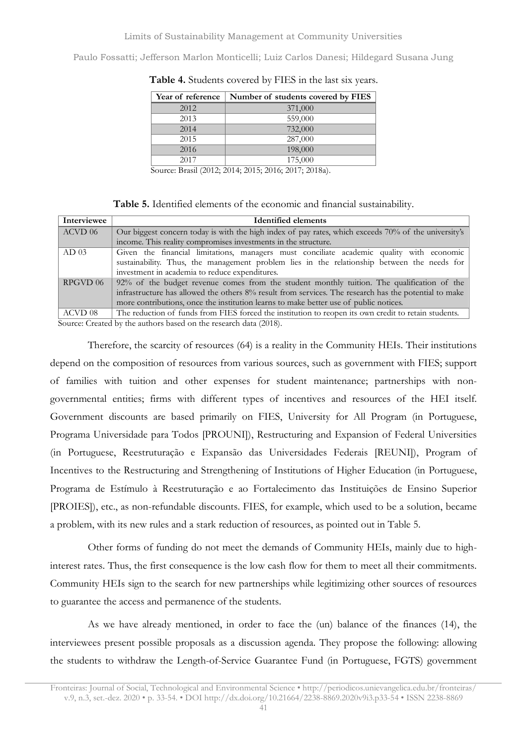| Year of reference | Number of students covered by FIES |
|-------------------|------------------------------------|
| 2012              | 371,000                            |
| 2013              | 559,000                            |
| 2014              | 732,000                            |
| 2015              | 287,000                            |
| 2016              | 198,000                            |
| 2017              | 175,000                            |

<span id="page-8-0"></span>**Table 4.** Students covered by FIES in the last six years.

Source: Brasil (2012; 2014; 2015; 2016; 2017; 2018a).

**Table 5.** Identified elements of the economic and financial sustainability.

<span id="page-8-1"></span>

| Interviewee      | <b>Identified elements</b>                                                                            |
|------------------|-------------------------------------------------------------------------------------------------------|
| ACVD 06          | Our biggest concern today is with the high index of pay rates, which exceeds 70% of the university's  |
|                  | income. This reality compromises investments in the structure.                                        |
| AD <sub>03</sub> | Given the financial limitations, managers must conciliate academic quality with economic              |
|                  | sustainability. Thus, the management problem lies in the relationship between the needs for           |
|                  | investment in academia to reduce expenditures.                                                        |
| RPGVD 06         | 92% of the budget revenue comes from the student monthly tuition. The qualification of the            |
|                  | infrastructure has allowed the others 8% result from services. The research has the potential to make |
|                  | more contributions, once the institution learns to make better use of public notices.                 |
| ACVD 08          | The reduction of funds from FIES forced the institution to reopen its own credit to retain students.  |

Source: Created by the authors based on the research data (2018).

Therefore, the scarcity of resources (64) is a reality in the Community HEIs. Their institutions depend on the composition of resources from various sources, such as government with FIES; support of families with tuition and other expenses for student maintenance; partnerships with nongovernmental entities; firms with different types of incentives and resources of the HEI itself. Government discounts are based primarily on FIES, University for All Program (in Portuguese, Programa Universidade para Todos [PROUNI]), Restructuring and Expansion of Federal Universities (in Portuguese, Reestruturação e Expansão das Universidades Federais [REUNI]), Program of Incentives to the Restructuring and Strengthening of Institutions of Higher Education (in Portuguese, Programa de Estímulo à Reestruturação e ao Fortalecimento das Instituições de Ensino Superior [PROIES]), etc., as non-refundable discounts. FIES, for example, which used to be a solution, became a problem, with its new rules and a stark reduction of resources, as pointed out in [Table](#page-8-1) 5.

Other forms of funding do not meet the demands of Community HEIs, mainly due to highinterest rates. Thus, the first consequence is the low cash flow for them to meet all their commitments. Community HEIs sign to the search for new partnerships while legitimizing other sources of resources to guarantee the access and permanence of the students.

As we have already mentioned, in order to face the (un) balance of the finances (14), the interviewees present possible proposals as a discussion agenda. They propose the following: allowing the students to withdraw the Length-of-Service Guarantee Fund (in Portuguese, FGTS) government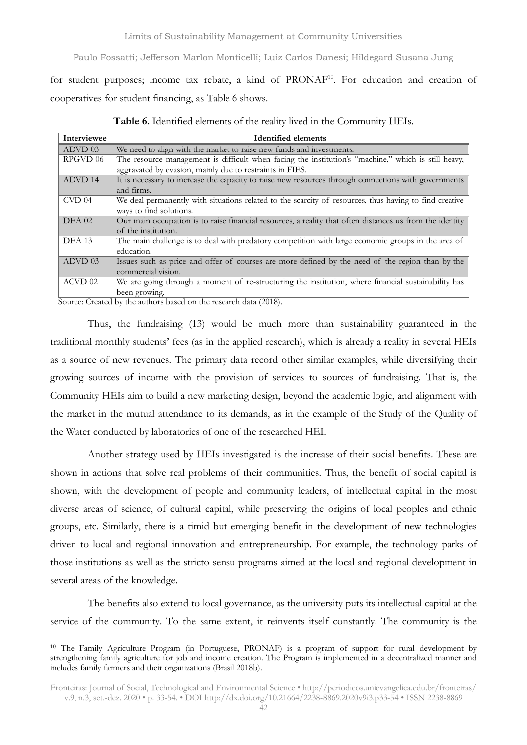for student purposes; income tax rebate, a kind of PRONAF<sup>10</sup>. For education and creation of cooperatives for student financing, as [Table](#page-9-0) 6 shows.

<span id="page-9-0"></span>

| Interviewee        | <b>Identified elements</b>                                                                               |
|--------------------|----------------------------------------------------------------------------------------------------------|
| ADVD 03            | We need to align with the market to raise new funds and investments.                                     |
| RPGVD 06           | The resource management is difficult when facing the institution's "machine," which is still heavy,      |
|                    | aggravated by evasion, mainly due to restraints in FIES.                                                 |
| ADVD 14            | It is necessary to increase the capacity to raise new resources through connections with governments     |
|                    | and firms.                                                                                               |
| $CVD$ 04           | We deal permanently with situations related to the scarcity of resources, thus having to find creative   |
|                    | ways to find solutions.                                                                                  |
| $DEA$ 02           | Our main occupation is to raise financial resources, a reality that often distances us from the identity |
|                    | of the institution.                                                                                      |
| <b>DEA 13</b>      | The main challenge is to deal with predatory competition with large economic groups in the area of       |
|                    | education.                                                                                               |
| ADVD 03            | Issues such as price and offer of courses are more defined by the need of the region than by the         |
|                    | commercial vision.                                                                                       |
| ACVD <sub>02</sub> | We are going through a moment of re-structuring the institution, where financial sustainability has      |
|                    | been growing.                                                                                            |

**Table 6.** Identified elements of the reality lived in the Community HEIs.

Source: Created by the authors based on the research data (2018).

Thus, the fundraising (13) would be much more than sustainability guaranteed in the traditional monthly students' fees (as in the applied research), which is already a reality in several HEIs as a source of new revenues. The primary data record other similar examples, while diversifying their growing sources of income with the provision of services to sources of fundraising. That is, the Community HEIs aim to build a new marketing design, beyond the academic logic, and alignment with the market in the mutual attendance to its demands, as in the example of the Study of the Quality of the Water conducted by laboratories of one of the researched HEI.

Another strategy used by HEIs investigated is the increase of their social benefits. These are shown in actions that solve real problems of their communities. Thus, the benefit of social capital is shown, with the development of people and community leaders, of intellectual capital in the most diverse areas of science, of cultural capital, while preserving the origins of local peoples and ethnic groups, etc. Similarly, there is a timid but emerging benefit in the development of new technologies driven to local and regional innovation and entrepreneurship. For example, the technology parks of those institutions as well as the stricto sensu programs aimed at the local and regional development in several areas of the knowledge.

The benefits also extend to local governance, as the university puts its intellectual capital at the service of the community. To the same extent, it reinvents itself constantly. The community is the

<sup>10</sup> The Family Agriculture Program (in Portuguese, PRONAF) is a program of support for rural development by strengthening family agriculture for job and income creation. The Program is implemented in a decentralized manner and includes family farmers and their organizations (Brasil 2018b).

Fronteiras: Journal of Social, Technological and Environmental Science • <http://periodicos.unievangelica.edu.br/fronteiras/> v.9, n.3, set.-dez. 2020 • p. 33-54. • DOI http://dx.doi.org/10.21664/2238-8869.2020v9i3.p33-54 • ISSN 2238-8869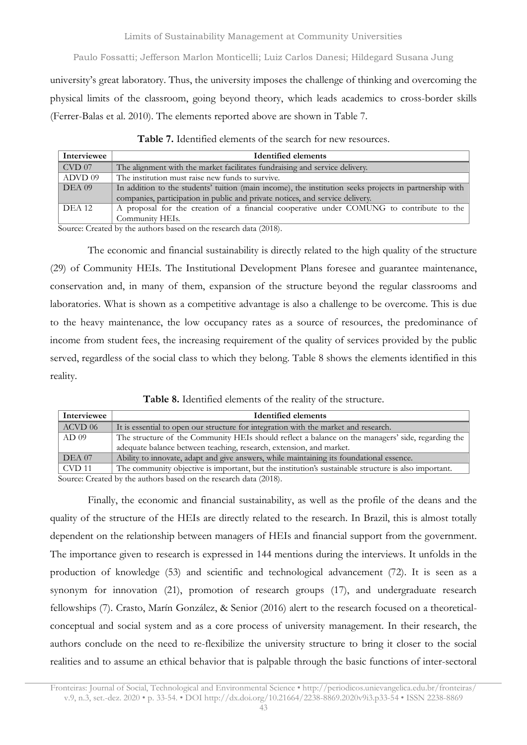university's great laboratory. Thus, the university imposes the challenge of thinking and overcoming the physical limits of the classroom, going beyond theory, which leads academics to cross-border skills (Ferrer-Balas et al. 2010). The elements reported above are shown in [Table](#page-10-0) 7.

<span id="page-10-0"></span>

| Interviewee   | <b>Identified elements</b>                                                                             |
|---------------|--------------------------------------------------------------------------------------------------------|
| CVD 07        | The alignment with the market facilitates fundraising and service delivery.                            |
| ADVD 09       | The institution must raise new funds to survive.                                                       |
| DEA 09        | In addition to the students' tuition (main income), the institution seeks projects in partnership with |
|               | companies, participation in public and private notices, and service delivery.                          |
| <b>DEA 12</b> | A proposal for the creation of a financial cooperative under COMUNG to contribute to the               |
|               | Community HEIs.                                                                                        |

**Table 7.** Identified elements of the search for new resources.

Source: Created by the authors based on the research data (2018).

The economic and financial sustainability is directly related to the high quality of the structure (29) of Community HEIs. The Institutional Development Plans foresee and guarantee maintenance, conservation and, in many of them, expansion of the structure beyond the regular classrooms and laboratories. What is shown as a competitive advantage is also a challenge to be overcome. This is due to the heavy maintenance, the low occupancy rates as a source of resources, the predominance of income from student fees, the increasing requirement of the quality of services provided by the public served, regardless of the social class to which they belong. [Table](#page-10-1) 8 shows the elements identified in this reality.

**Table 8.** Identified elements of the reality of the structure.

<span id="page-10-1"></span>

| Interviewee      | <b>Identified elements</b>                                                                           |
|------------------|------------------------------------------------------------------------------------------------------|
| ACVD 06          | It is essential to open our structure for integration with the market and research.                  |
| AD <sub>09</sub> | The structure of the Community HEIs should reflect a balance on the managers' side, regarding the    |
|                  | adequate balance between teaching, research, extension, and market.                                  |
| DEA 07           | Ability to innovate, adapt and give answers, while maintaining its foundational essence.             |
| CVD 11           | The community objective is important, but the institution's sustainable structure is also important. |

Source: Created by the authors based on the research data (2018).

Finally, the economic and financial sustainability, as well as the profile of the deans and the quality of the structure of the HEIs are directly related to the research. In Brazil, this is almost totally dependent on the relationship between managers of HEIs and financial support from the government. The importance given to research is expressed in 144 mentions during the interviews. It unfolds in the production of knowledge (53) and scientific and technological advancement (72). It is seen as a synonym for innovation (21), promotion of research groups (17), and undergraduate research fellowships (7). Crasto, Marín González, & Senior (2016) alert to the research focused on a theoreticalconceptual and social system and as a core process of university management. In their research, the authors conclude on the need to re-flexibilize the university structure to bring it closer to the social realities and to assume an ethical behavior that is palpable through the basic functions of inter-sectoral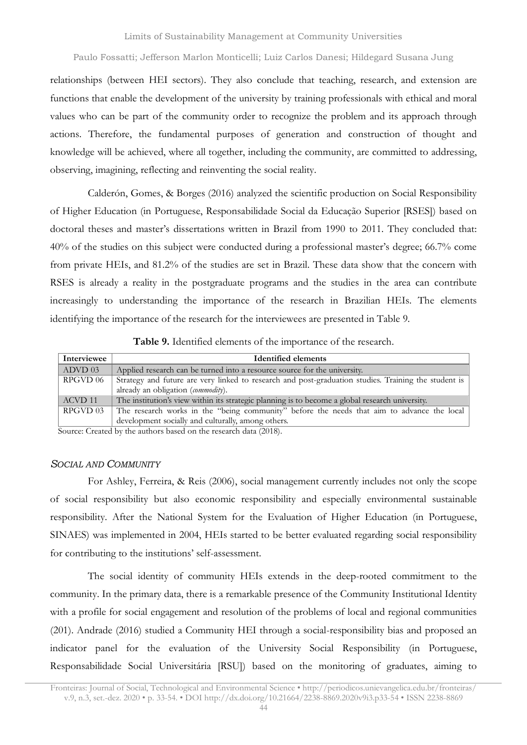relationships (between HEI sectors). They also conclude that teaching, research, and extension are functions that enable the development of the university by training professionals with ethical and moral values who can be part of the community order to recognize the problem and its approach through actions. Therefore, the fundamental purposes of generation and construction of thought and knowledge will be achieved, where all together, including the community, are committed to addressing, observing, imagining, reflecting and reinventing the social reality.

Calderón, Gomes, & Borges (2016) analyzed the scientific production on Social Responsibility of Higher Education (in Portuguese, Responsabilidade Social da Educação Superior [RSES]) based on doctoral theses and master's dissertations written in Brazil from 1990 to 2011. They concluded that: 40% of the studies on this subject were conducted during a professional master's degree; 66.7% come from private HEIs, and 81.2% of the studies are set in Brazil. These data show that the concern with RSES is already a reality in the postgraduate programs and the studies in the area can contribute increasingly to understanding the importance of the research in Brazilian HEIs. The elements identifying the importance of the research for the interviewees are presented in [Table](#page-11-0) 9.

| Table 9. Identified elements of the importance of the research. |  |  |  |
|-----------------------------------------------------------------|--|--|--|
|-----------------------------------------------------------------|--|--|--|

<span id="page-11-0"></span>

| Interviewee | <b>Identified elements</b>                                                                           |
|-------------|------------------------------------------------------------------------------------------------------|
| ADVD 03     | Applied research can be turned into a resource source for the university.                            |
| RPGVD 06    | Strategy and future are very linked to research and post-graduation studies. Training the student is |
|             | already an obligation <i>(commodity)</i> .                                                           |
| ACVD 11     | The institution's view within its strategic planning is to become a global research university.      |
| RPGVD 03    | The research works in the "being community" before the needs that aim to advance the local           |
|             | development socially and culturally, among others.                                                   |

Source: Created by the authors based on the research data (2018).

#### *SOCIAL AND COMMUNITY*

For Ashley, Ferreira, & Reis (2006), social management currently includes not only the scope of social responsibility but also economic responsibility and especially environmental sustainable responsibility. After the National System for the Evaluation of Higher Education (in Portuguese, SINAES) was implemented in 2004, HEIs started to be better evaluated regarding social responsibility for contributing to the institutions' self-assessment.

The social identity of community HEIs extends in the deep-rooted commitment to the community. In the primary data, there is a remarkable presence of the Community Institutional Identity with a profile for social engagement and resolution of the problems of local and regional communities (201). Andrade (2016) studied a Community HEI through a social-responsibility bias and proposed an indicator panel for the evaluation of the University Social Responsibility (in Portuguese, Responsabilidade Social Universitária [RSU]) based on the monitoring of graduates, aiming to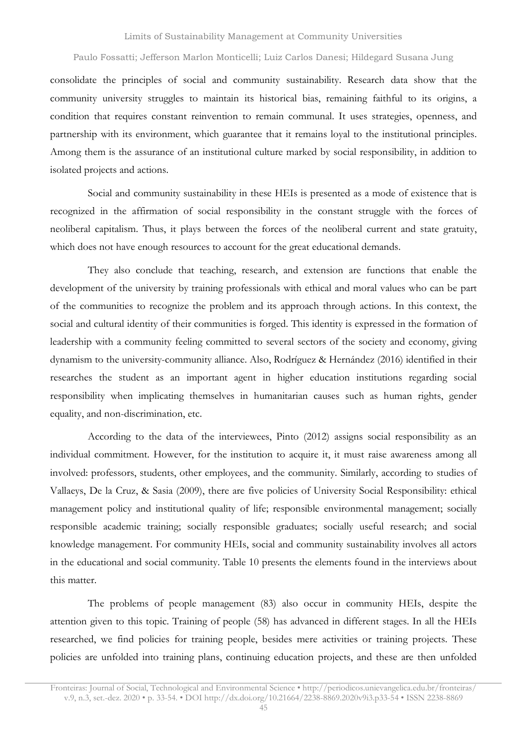consolidate the principles of social and community sustainability. Research data show that the community university struggles to maintain its historical bias, remaining faithful to its origins, a condition that requires constant reinvention to remain communal. It uses strategies, openness, and partnership with its environment, which guarantee that it remains loyal to the institutional principles. Among them is the assurance of an institutional culture marked by social responsibility, in addition to isolated projects and actions.

Social and community sustainability in these HEIs is presented as a mode of existence that is recognized in the affirmation of social responsibility in the constant struggle with the forces of neoliberal capitalism. Thus, it plays between the forces of the neoliberal current and state gratuity, which does not have enough resources to account for the great educational demands.

They also conclude that teaching, research, and extension are functions that enable the development of the university by training professionals with ethical and moral values who can be part of the communities to recognize the problem and its approach through actions. In this context, the social and cultural identity of their communities is forged. This identity is expressed in the formation of leadership with a community feeling committed to several sectors of the society and economy, giving dynamism to the university-community alliance. Also, Rodríguez & Hernández (2016) identified in their researches the student as an important agent in higher education institutions regarding social responsibility when implicating themselves in humanitarian causes such as human rights, gender equality, and non-discrimination, etc.

According to the data of the interviewees, Pinto (2012) assigns social responsibility as an individual commitment. However, for the institution to acquire it, it must raise awareness among all involved: professors, students, other employees, and the community. Similarly, according to studies of Vallaeys, De la Cruz, & Sasia (2009), there are five policies of University Social Responsibility: ethical management policy and institutional quality of life; responsible environmental management; socially responsible academic training; socially responsible graduates; socially useful research; and social knowledge management. For community HEIs, social and community sustainability involves all actors in the educational and social community. [Table](#page-13-0) 10 presents the elements found in the interviews about this matter.

The problems of people management (83) also occur in community HEIs, despite the attention given to this topic. Training of people (58) has advanced in different stages. In all the HEIs researched, we find policies for training people, besides mere activities or training projects. These policies are unfolded into training plans, continuing education projects, and these are then unfolded

Fronteiras: Journal of Social, Technological and Environmental Science • <http://periodicos.unievangelica.edu.br/fronteiras/> v.9, n.3, set.-dez. 2020 • p. 33-54. • DOI http://dx.doi.org/10.21664/2238-8869.2020v9i3.p33-54 • ISSN 2238-8869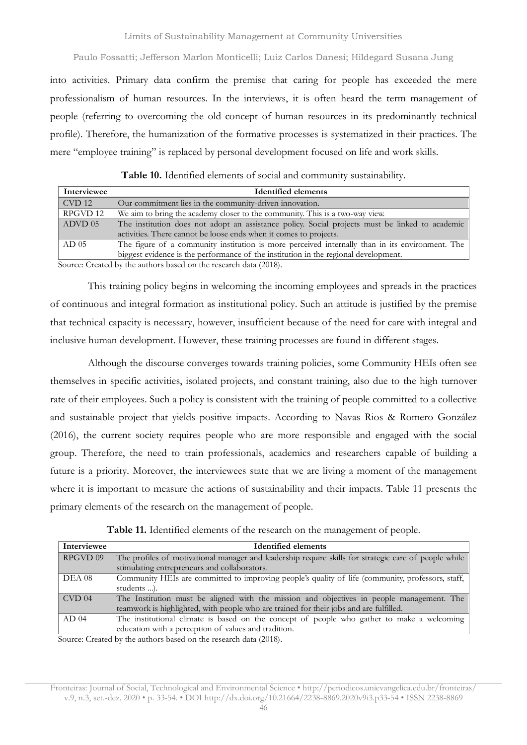into activities. Primary data confirm the premise that caring for people has exceeded the mere professionalism of human resources. In the interviews, it is often heard the term management of people (referring to overcoming the old concept of human resources in its predominantly technical profile). Therefore, the humanization of the formative processes is systematized in their practices. The mere "employee training" is replaced by personal development focused on life and work skills.

<span id="page-13-0"></span>

| Interviewee      | <b>Identified elements</b>                                                                      |
|------------------|-------------------------------------------------------------------------------------------------|
| CVD 12           | Our commitment lies in the community-driven innovation.                                         |
| RPGVD 12         | We aim to bring the academy closer to the community. This is a two-way view.                    |
| $\vert$ ADVD 05  | The institution does not adopt an assistance policy. Social projects must be linked to academic |
|                  | activities. There cannot be loose ends when it comes to projects.                               |
| AD <sub>05</sub> | The figure of a community institution is more perceived internally than in its environment. The |
|                  | biggest evidence is the performance of the institution in the regional development.             |

**Table 10.** Identified elements of social and community sustainability.

Source: Created by the authors based on the research data (2018).

This training policy begins in welcoming the incoming employees and spreads in the practices of continuous and integral formation as institutional policy. Such an attitude is justified by the premise that technical capacity is necessary, however, insufficient because of the need for care with integral and inclusive human development. However, these training processes are found in different stages.

Although the discourse converges towards training policies, some Community HEIs often see themselves in specific activities, isolated projects, and constant training, also due to the high turnover rate of their employees. Such a policy is consistent with the training of people committed to a collective and sustainable project that yields positive impacts. According to Navas Rios & Romero González (2016), the current society requires people who are more responsible and engaged with the social group. Therefore, the need to train professionals, academics and researchers capable of building a future is a priority. Moreover, the interviewees state that we are living a moment of the management where it is important to measure the actions of sustainability and their impacts. Table 11 presents the primary elements of the research on the management of people.

| Table 11. Identified elements of the research on the management of people. |  |
|----------------------------------------------------------------------------|--|
|----------------------------------------------------------------------------|--|

| Interviewee      | <b>Identified elements</b>                                                                            |
|------------------|-------------------------------------------------------------------------------------------------------|
| RPGVD 09         | The profiles of motivational manager and leadership require skills for strategic care of people while |
|                  | stimulating entrepreneurs and collaborators.                                                          |
| DEA 08           | Community HEIs are committed to improving people's quality of life (community, professors, staff,     |
|                  | students ).                                                                                           |
| $CVD$ 04         | The Institution must be aligned with the mission and objectives in people management. The             |
|                  | teamwork is highlighted, with people who are trained for their jobs and are fulfilled.                |
| AD <sub>04</sub> | The institutional climate is based on the concept of people who gather to make a welcoming            |
|                  | education with a perception of values and tradition.                                                  |

Source: Created by the authors based on the research data (2018).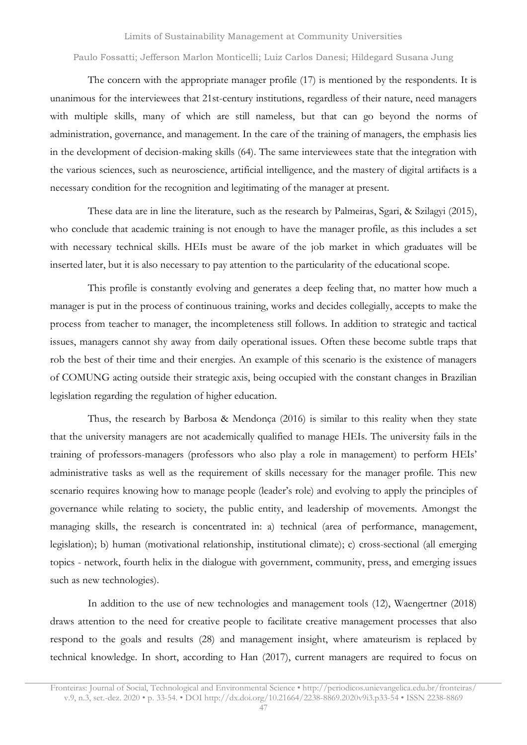The concern with the appropriate manager profile (17) is mentioned by the respondents. It is unanimous for the interviewees that 21st-century institutions, regardless of their nature, need managers with multiple skills, many of which are still nameless, but that can go beyond the norms of administration, governance, and management. In the care of the training of managers, the emphasis lies in the development of decision-making skills (64). The same interviewees state that the integration with the various sciences, such as neuroscience, artificial intelligence, and the mastery of digital artifacts is a necessary condition for the recognition and legitimating of the manager at present.

These data are in line the literature, such as the research by Palmeiras, Sgari, & Szilagyi (2015), who conclude that academic training is not enough to have the manager profile, as this includes a set with necessary technical skills. HEIs must be aware of the job market in which graduates will be inserted later, but it is also necessary to pay attention to the particularity of the educational scope.

This profile is constantly evolving and generates a deep feeling that, no matter how much a manager is put in the process of continuous training, works and decides collegially, accepts to make the process from teacher to manager, the incompleteness still follows. In addition to strategic and tactical issues, managers cannot shy away from daily operational issues. Often these become subtle traps that rob the best of their time and their energies. An example of this scenario is the existence of managers of COMUNG acting outside their strategic axis, being occupied with the constant changes in Brazilian legislation regarding the regulation of higher education.

Thus, the research by Barbosa & Mendonça (2016) is similar to this reality when they state that the university managers are not academically qualified to manage HEIs. The university fails in the training of professors-managers (professors who also play a role in management) to perform HEIs' administrative tasks as well as the requirement of skills necessary for the manager profile. This new scenario requires knowing how to manage people (leader's role) and evolving to apply the principles of governance while relating to society, the public entity, and leadership of movements. Amongst the managing skills, the research is concentrated in: a) technical (area of performance, management, legislation); b) human (motivational relationship, institutional climate); c) cross-sectional (all emerging topics - network, fourth helix in the dialogue with government, community, press, and emerging issues such as new technologies).

In addition to the use of new technologies and management tools (12), Waengertner (2018) draws attention to the need for creative people to facilitate creative management processes that also respond to the goals and results (28) and management insight, where amateurism is replaced by technical knowledge. In short, according to Han (2017), current managers are required to focus on

Fronteiras: Journal of Social, Technological and Environmental Science • <http://periodicos.unievangelica.edu.br/fronteiras/> v.9, n.3, set.-dez. 2020 • p. 33-54. • DOI http://dx.doi.org/10.21664/2238-8869.2020v9i3.p33-54 • ISSN 2238-8869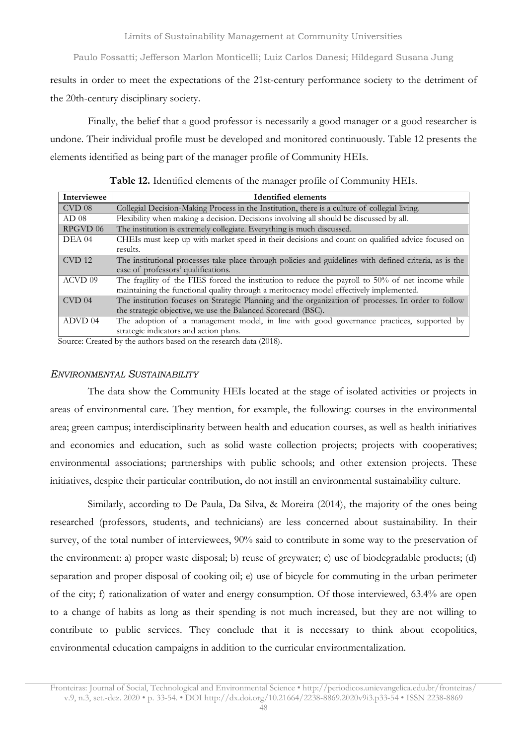results in order to meet the expectations of the 21st-century performance society to the detriment of the 20th-century disciplinary society.

Finally, the belief that a good professor is necessarily a good manager or a good researcher is undone. Their individual profile must be developed and monitored continuously. [Table](#page-15-0) 12 presents the elements identified as being part of the manager profile of Community HEIs.

**Table 12.** Identified elements of the manager profile of Community HEIs.

<span id="page-15-0"></span>

| Interviewee      | <b>Identified elements</b>                                                                              |
|------------------|---------------------------------------------------------------------------------------------------------|
| $CVD$ 08         | Collegial Decision-Making Process in the Institution, there is a culture of collegial living.           |
| AD <sub>08</sub> | Flexibility when making a decision. Decisions involving all should be discussed by all.                 |
| RPGVD 06         | The institution is extremely collegiate. Everything is much discussed.                                  |
| DEA 04           | CHEIs must keep up with market speed in their decisions and count on qualified advice focused on        |
|                  | results.                                                                                                |
| <b>CVD</b> 12    | The institutional processes take place through policies and guidelines with defined criteria, as is the |
|                  | case of professors' qualifications.                                                                     |
| ACVD 09          | The fragility of the FIES forced the institution to reduce the payroll to 50% of net income while       |
|                  | maintaining the functional quality through a meritocracy model effectively implemented.                 |
| $CVD$ 04         | The institution focuses on Strategic Planning and the organization of processes. In order to follow     |
|                  | the strategic objective, we use the Balanced Scorecard (BSC).                                           |
| ADVD 04          | The adoption of a management model, in line with good governance practices, supported by                |
|                  | strategic indicators and action plans.                                                                  |

Source: Created by the authors based on the research data (2018).

#### *ENVIRONMENTAL SUSTAINABILITY*

The data show the Community HEIs located at the stage of isolated activities or projects in areas of environmental care. They mention, for example, the following: courses in the environmental area; green campus; interdisciplinarity between health and education courses, as well as health initiatives and economics and education, such as solid waste collection projects; projects with cooperatives; environmental associations; partnerships with public schools; and other extension projects. These initiatives, despite their particular contribution, do not instill an environmental sustainability culture.

Similarly, according to De Paula, Da Silva, & Moreira (2014), the majority of the ones being researched (professors, students, and technicians) are less concerned about sustainability. In their survey, of the total number of interviewees, 90% said to contribute in some way to the preservation of the environment: a) proper waste disposal; b) reuse of greywater; c) use of biodegradable products; (d) separation and proper disposal of cooking oil; e) use of bicycle for commuting in the urban perimeter of the city; f) rationalization of water and energy consumption. Of those interviewed, 63.4% are open to a change of habits as long as their spending is not much increased, but they are not willing to contribute to public services. They conclude that it is necessary to think about ecopolitics, environmental education campaigns in addition to the curricular environmentalization.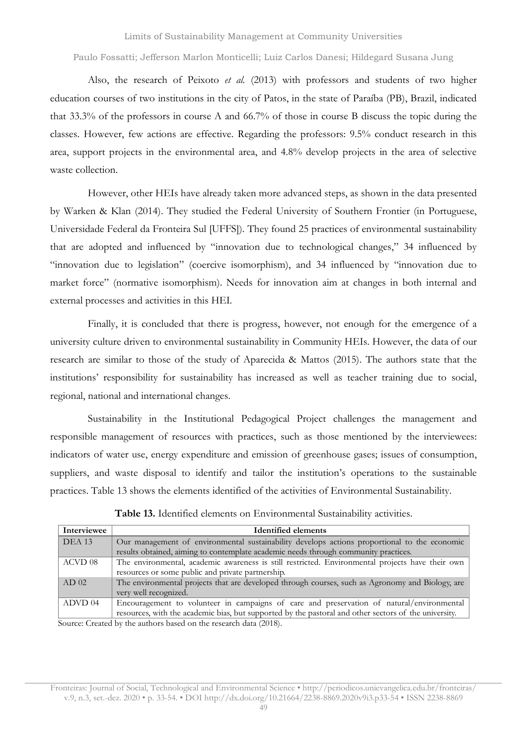Also, the research of Peixoto *et al.* (2013) with professors and students of two higher education courses of two institutions in the city of Patos, in the state of Paraíba (PB), Brazil, indicated that 33.3% of the professors in course A and 66.7% of those in course B discuss the topic during the classes. However, few actions are effective. Regarding the professors: 9.5% conduct research in this area, support projects in the environmental area, and 4.8% develop projects in the area of selective waste collection.

However, other HEIs have already taken more advanced steps, as shown in the data presented by Warken & Klan (2014). They studied the Federal University of Southern Frontier (in Portuguese, Universidade Federal da Fronteira Sul [UFFS]). They found 25 practices of environmental sustainability that are adopted and influenced by "innovation due to technological changes," 34 influenced by "innovation due to legislation" (coercive isomorphism), and 34 influenced by "innovation due to market force" (normative isomorphism). Needs for innovation aim at changes in both internal and external processes and activities in this HEI.

Finally, it is concluded that there is progress, however, not enough for the emergence of a university culture driven to environmental sustainability in Community HEIs. However, the data of our research are similar to those of the study of Aparecida & Mattos (2015). The authors state that the institutions' responsibility for sustainability has increased as well as teacher training due to social, regional, national and international changes.

Sustainability in the Institutional Pedagogical Project challenges the management and responsible management of resources with practices, such as those mentioned by the interviewees: indicators of water use, energy expenditure and emission of greenhouse gases; issues of consumption, suppliers, and waste disposal to identify and tailor the institution's operations to the sustainable practices. [Table](#page-16-0) 13 shows the elements identified of the activities of Environmental Sustainability.

<span id="page-16-0"></span>

| Interviewee      | <b>Identified elements</b>                                                                            |
|------------------|-------------------------------------------------------------------------------------------------------|
| <b>DEA 13</b>    | Our management of environmental sustainability develops actions proportional to the economic          |
|                  | results obtained, aiming to contemplate academic needs through community practices.                   |
| ACVD 08          | The environmental, academic awareness is still restricted. Environmental projects have their own      |
|                  | resources or some public and private partnership.                                                     |
| AD <sub>02</sub> | The environmental projects that are developed through courses, such as Agronomy and Biology, are      |
|                  | very well recognized.                                                                                 |
| ADVD 04          | Encouragement to volunteer in campaigns of care and preservation of natural/environmental             |
|                  | resources, with the academic bias, but supported by the pastoral and other sectors of the university. |
|                  |                                                                                                       |

**Table 13.** Identified elements on Environmental Sustainability activities.

Source: Created by the authors based on the research data (2018).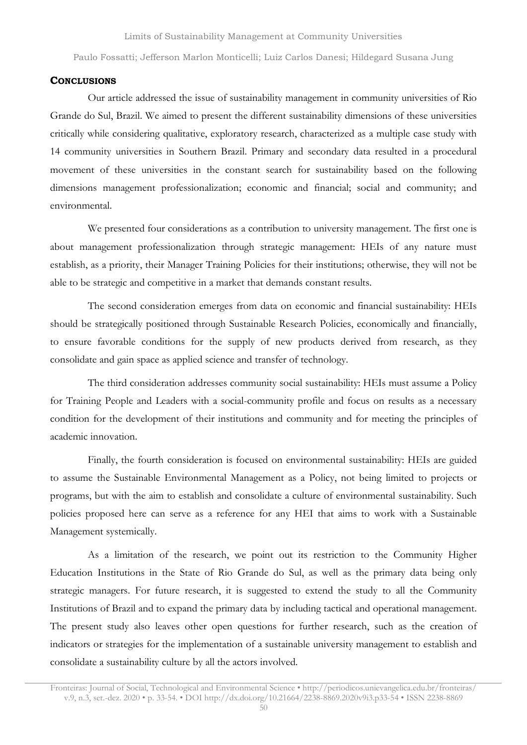#### **CONCLUSIONS**

Our article addressed the issue of sustainability management in community universities of Rio Grande do Sul, Brazil. We aimed to present the different sustainability dimensions of these universities critically while considering qualitative, exploratory research, characterized as a multiple case study with 14 community universities in Southern Brazil. Primary and secondary data resulted in a procedural movement of these universities in the constant search for sustainability based on the following dimensions management professionalization; economic and financial; social and community; and environmental.

We presented four considerations as a contribution to university management. The first one is about management professionalization through strategic management: HEIs of any nature must establish, as a priority, their Manager Training Policies for their institutions; otherwise, they will not be able to be strategic and competitive in a market that demands constant results.

The second consideration emerges from data on economic and financial sustainability: HEIs should be strategically positioned through Sustainable Research Policies, economically and financially, to ensure favorable conditions for the supply of new products derived from research, as they consolidate and gain space as applied science and transfer of technology.

The third consideration addresses community social sustainability: HEIs must assume a Policy for Training People and Leaders with a social-community profile and focus on results as a necessary condition for the development of their institutions and community and for meeting the principles of academic innovation.

Finally, the fourth consideration is focused on environmental sustainability: HEIs are guided to assume the Sustainable Environmental Management as a Policy, not being limited to projects or programs, but with the aim to establish and consolidate a culture of environmental sustainability. Such policies proposed here can serve as a reference for any HEI that aims to work with a Sustainable Management systemically.

As a limitation of the research, we point out its restriction to the Community Higher Education Institutions in the State of Rio Grande do Sul, as well as the primary data being only strategic managers. For future research, it is suggested to extend the study to all the Community Institutions of Brazil and to expand the primary data by including tactical and operational management. The present study also leaves other open questions for further research, such as the creation of indicators or strategies for the implementation of a sustainable university management to establish and consolidate a sustainability culture by all the actors involved.

Fronteiras: Journal of Social, Technological and Environmental Science • <http://periodicos.unievangelica.edu.br/fronteiras/> v.9, n.3, set.-dez. 2020 • p. 33-54. • DOI http://dx.doi.org/10.21664/2238-8869.2020v9i3.p33-54 • ISSN 2238-8869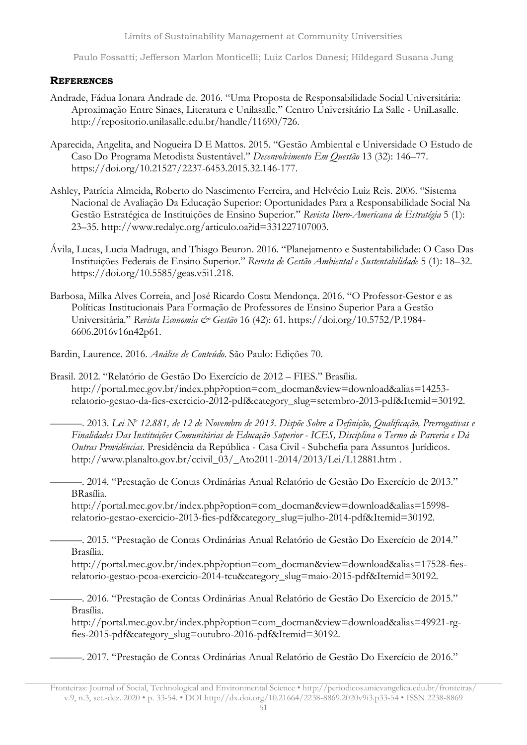Limits of Sustainability Management at Community Universities

Paulo Fossatti; Jefferson Marlon Monticelli; Luiz Carlos Danesi; Hildegard Susana Jung

## **REFERENCES**

- Andrade, Fádua Ionara Andrade de. 2016. "Uma Proposta de Responsabilidade Social Universitária: Aproximação Entre Sinaes, Literatura e Unilasalle." Centro Universitário La Salle - UniLasalle. http://repositorio.unilasalle.edu.br/handle/11690/726.
- Aparecida, Angelita, and Nogueira D E Mattos. 2015. "Gestão Ambiental e Universidade O Estudo de Caso Do Programa Metodista Sustentável." *Desenvolvimento Em Questão* 13 (32): 146–77. https://doi.org/10.21527/2237-6453.2015.32.146-177.
- Ashley, Patrícia Almeida, Roberto do Nascimento Ferreira, and Helvécio Luiz Reis. 2006. "Sistema Nacional de Avaliação Da Educação Superior: Oportunidades Para a Responsabilidade Social Na Gestão Estratégica de Instituições de Ensino Superior." *Revista Ibero-Americana de Estratégia* 5 (1): 23–35. http://www.redalyc.org/articulo.oa?id=331227107003.
- Ávila, Lucas, Lucia Madruga, and Thiago Beuron. 2016. "Planejamento e Sustentabilidade: O Caso Das Instituições Federais de Ensino Superior." *Revista de Gestão Ambiental e Sustentabilidade* 5 (1): 18–32. https://doi.org/10.5585/geas.v5i1.218.
- Barbosa, Milka Alves Correia, and José Ricardo Costa Mendonça. 2016. "O Professor-Gestor e as Políticas Institucionais Para Formação de Professores de Ensino Superior Para a Gestão Universitária." *Revista Economia & Gestão* 16 (42): 61. https://doi.org/10.5752/P.1984- 6606.2016v16n42p61.

Bardin, Laurence. 2016. *Análise de Conteúdo*. São Paulo: Edições 70.

Brasil. 2012. "Relatório de Gestão Do Exercício de 2012 – FIES." Brasília. http://portal.mec.gov.br/index.php?option=com\_docman&view=download&alias=14253 relatorio-gestao-da-fies-exercicio-2012-pdf&category\_slug=setembro-2013-pdf&Itemid=30192.

─── 2013. Lei Nº 12.881, de 12 de Novembro de 2013. Dispõe Sobre a Definição, Qualificação, Prerrogativas e *Finalidades Das Instituições Comunitárias de Educação Superior - ICES, Disciplina o Termo de Parceria e Dá Outras Providências*. Presidência da República - Casa Civil - Subchefia para Assuntos Jurídicos. http://www.planalto.gov.br/ccivil\_03/\_Ato2011-2014/2013/Lei/L12881.htm .

———. 2014. "Prestação de Contas Ordinárias Anual Relatório de Gestão Do Exercício de 2013." BRasília.

http://portal.mec.gov.br/index.php?option=com\_docman&view=download&alias=15998 relatorio-gestao-exercicio-2013-fies-pdf&category\_slug=julho-2014-pdf&Itemid=30192.

———. 2015. "Prestação de Contas Ordinárias Anual Relatório de Gestão Do Exercício de 2014." Brasília.

http://portal.mec.gov.br/index.php?option=com\_docman&view=download&alias=17528-fiesrelatorio-gestao-pcoa-exercicio-2014-tcu&category\_slug=maio-2015-pdf&Itemid=30192.

———. 2016. "Prestação de Contas Ordinárias Anual Relatório de Gestão Do Exercício de 2015." Brasília.

http://portal.mec.gov.br/index.php?option=com\_docman&view=download&alias=49921-rgfies-2015-pdf&category\_slug=outubro-2016-pdf&Itemid=30192.

———. 2017. "Prestação de Contas Ordinárias Anual Relatório de Gestão Do Exercício de 2016."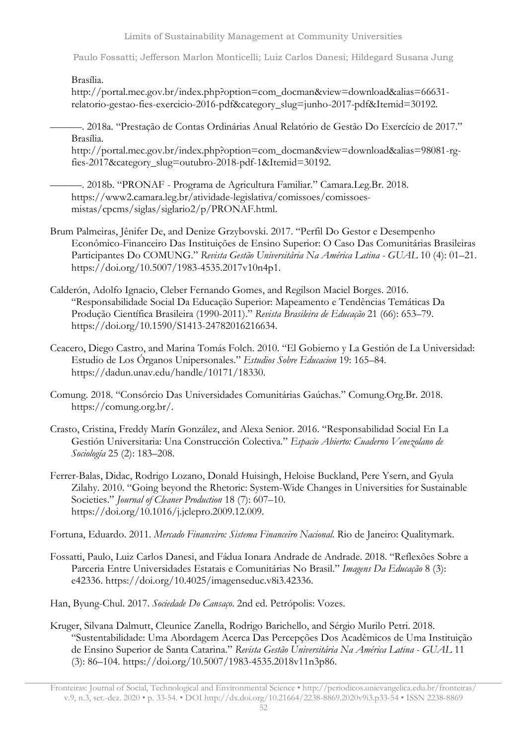Limits of Sustainability Management at Community Universities

Paulo Fossatti; Jefferson Marlon Monticelli; Luiz Carlos Danesi; Hildegard Susana Jung

Brasília.

http://portal.mec.gov.br/index.php?option=com\_docman&view=download&alias=66631 relatorio-gestao-fies-exercicio-2016-pdf&category\_slug=junho-2017-pdf&Itemid=30192.

———. 2018a. "Prestação de Contas Ordinárias Anual Relatório de Gestão Do Exercício de 2017." Brasília.

http://portal.mec.gov.br/index.php?option=com\_docman&view=download&alias=98081-rgfies-2017&category\_slug=outubro-2018-pdf-1&Itemid=30192.

———. 2018b. "PRONAF - Programa de Agricultura Familiar." Camara.Leg.Br. 2018. https://www2.camara.leg.br/atividade-legislativa/comissoes/comissoesmistas/cpcms/siglas/siglario2/p/PRONAF.html.

- Brum Palmeiras, Jênifer De, and Denize Grzybovski. 2017. "Perfil Do Gestor e Desempenho Econômico-Financeiro Das Instituições de Ensino Superior: O Caso Das Comunitárias Brasileiras Participantes Do COMUNG." *Revista Gestão Universitária Na América Latina - GUAL* 10 (4): 01–21. https://doi.org/10.5007/1983-4535.2017v10n4p1.
- Calderón, Adolfo Ignacio, Cleber Fernando Gomes, and Regilson Maciel Borges. 2016. "Responsabilidade Social Da Educação Superior: Mapeamento e Tendências Temáticas Da Produção Científica Brasileira (1990-2011)." *Revista Brasileira de Educação* 21 (66): 653–79. https://doi.org/10.1590/S1413-24782016216634.
- Ceacero, Diego Castro, and Marina Tomás Folch. 2010. "El Gobierno y La Gestión de La Universidad: Estudio de Los Órganos Unipersonales." *Estudios Sobre Educacion* 19: 165–84. https://dadun.unav.edu/handle/10171/18330.
- Comung. 2018. "Consórcio Das Universidades Comunitárias Gaúchas." Comung.Org.Br. 2018. https://comung.org.br/.
- Crasto, Cristina, Freddy Marín González, and Alexa Senior. 2016. "Responsabilidad Social En La Gestión Universitaria: Una Construcción Colectiva." *Espacio Abierto: Cuaderno Venezolano de Sociología* 25 (2): 183–208.
- Ferrer-Balas, Didac, Rodrigo Lozano, Donald Huisingh, Heloise Buckland, Pere Ysern, and Gyula Zilahy. 2010. "Going beyond the Rhetoric: System-Wide Changes in Universities for Sustainable Societies." *Journal of Cleaner Production* 18 (7): 607–10. https://doi.org/10.1016/j.jclepro.2009.12.009.

Fortuna, Eduardo. 2011. *Mercado Financeiro: Sistema Financeiro Nacional*. Rio de Janeiro: Qualitymark.

Fossatti, Paulo, Luiz Carlos Danesi, and Fádua Ionara Andrade de Andrade. 2018. "Reflexões Sobre a Parceria Entre Universidades Estatais e Comunitárias No Brasil." *Imagens Da Educação* 8 (3): e42336. https://doi.org/10.4025/imagenseduc.v8i3.42336.

Han, Byung-Chul. 2017. *Sociedade Do Cansaço*. 2nd ed. Petrópolis: Vozes.

Kruger, Silvana Dalmutt, Cleunice Zanella, Rodrigo Barichello, and Sérgio Murilo Petri. 2018. "Sustentabilidade: Uma Abordagem Acerca Das Percepções Dos Acadêmicos de Uma Instituição de Ensino Superior de Santa Catarina." *Revista Gestão Universitária Na América Latina - GUAL* 11 (3): 86–104. https://doi.org/10.5007/1983-4535.2018v11n3p86.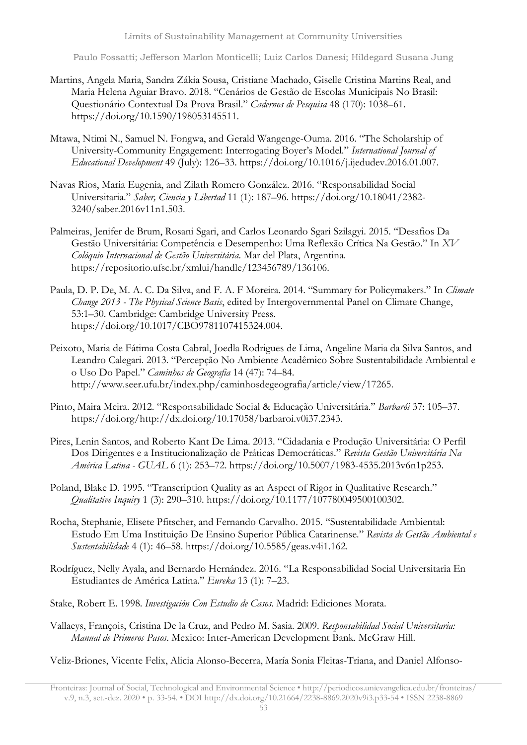- Martins, Angela Maria, Sandra Zákia Sousa, Cristiane Machado, Giselle Cristina Martins Real, and Maria Helena Aguiar Bravo. 2018. "Cenários de Gestão de Escolas Municipais No Brasil: Questionário Contextual Da Prova Brasil." *Cadernos de Pesquisa* 48 (170): 1038–61. https://doi.org/10.1590/198053145511.
- Mtawa, Ntimi N., Samuel N. Fongwa, and Gerald Wangenge-Ouma. 2016. "The Scholarship of University-Community Engagement: Interrogating Boyer's Model." *International Journal of Educational Development* 49 (July): 126–33. https://doi.org/10.1016/j.ijedudev.2016.01.007.
- Navas Rios, Maria Eugenia, and Zilath Romero González. 2016. "Responsabilidad Social Universitaria." *Saber, Ciencia y Libertad* 11 (1): 187–96. https://doi.org/10.18041/2382- 3240/saber.2016v11n1.503.
- Palmeiras, Jenifer de Brum, Rosani Sgari, and Carlos Leonardo Sgari Szilagyi. 2015. "Desafios Da Gestão Universitária: Competência e Desempenho: Uma Reflexão Crítica Na Gestão." In *XV Colóquio Internacional de Gestão Universitária*. Mar del Plata, Argentina. https://repositorio.ufsc.br/xmlui/handle/123456789/136106.
- Paula, D. P. De, M. A. C. Da Silva, and F. A. F Moreira. 2014. "Summary for Policymakers." In *Climate Change 2013 - The Physical Science Basis*, edited by Intergovernmental Panel on Climate Change, 53:1–30. Cambridge: Cambridge University Press. https://doi.org/10.1017/CBO9781107415324.004.
- Peixoto, Maria de Fátima Costa Cabral, Joedla Rodrigues de Lima, Angeline Maria da Silva Santos, and Leandro Calegari. 2013. "Percepção No Ambiente Acadêmico Sobre Sustentabilidade Ambiental e o Uso Do Papel." *Caminhos de Geografia* 14 (47): 74–84. http://www.seer.ufu.br/index.php/caminhosdegeografia/article/view/17265.
- Pinto, Maira Meira. 2012. "Responsabilidade Social & Educação Universitária." *Barbarói* 37: 105–37. https://doi.org/http://dx.doi.org/10.17058/barbaroi.v0i37.2343.
- Pires, Lenin Santos, and Roberto Kant De Lima. 2013. "Cidadania e Produção Universitária: O Perfil Dos Dirigentes e a Institucionalização de Práticas Democráticas." *Revista Gestão Universitária Na América Latina - GUAL* 6 (1): 253–72. https://doi.org/10.5007/1983-4535.2013v6n1p253.
- Poland, Blake D. 1995. "Transcription Quality as an Aspect of Rigor in Qualitative Research." *Qualitative Inquiry* 1 (3): 290–310. https://doi.org/10.1177/107780049500100302.
- Rocha, Stephanie, Elisete Pfitscher, and Fernando Carvalho. 2015. "Sustentabilidade Ambiental: Estudo Em Uma Instituição De Ensino Superior Pública Catarinense." *Revista de Gestão Ambiental e Sustentabilidade* 4 (1): 46–58. https://doi.org/10.5585/geas.v4i1.162.
- Rodríguez, Nelly Ayala, and Bernardo Hernández. 2016. "La Responsabilidad Social Universitaria En Estudiantes de América Latina." *Eureka* 13 (1): 7–23.
- Stake, Robert E. 1998. *Investigación Con Estudio de Casos*. Madrid: Ediciones Morata.
- Vallaeys, François, Cristina De la Cruz, and Pedro M. Sasia. 2009. *Responsabilidad Social Universitaria: Manual de Primeros Pasos*. Mexico: Inter-American Development Bank. McGraw Hill.

Veliz-Briones, Vicente Felix, Alicia Alonso-Becerra, María Sonia Fleitas-Triana, and Daniel Alfonso-

Fronteiras: Journal of Social, Technological and Environmental Science • <http://periodicos.unievangelica.edu.br/fronteiras/> v.9, n.3, set.-dez. 2020 • p. 33-54. • DOI http://dx.doi.org/10.21664/2238-8869.2020v9i3.p33-54 • ISSN 2238-8869